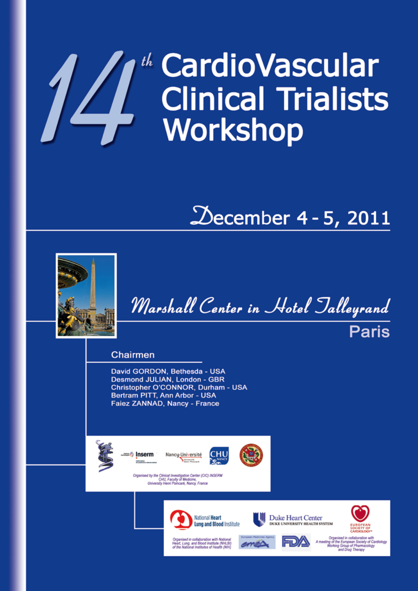# **Allen CardioVascular<br>Allen Clinical Trialists<br>Workshop**

# December 4 - 5, 2011



Marshall Center in Hotel Jalleyrand

## Chairmen

David GORDON, Bethesda - USA Desmond JULIAN, London - GBR Christopher O'CONNOR, Durham - USA Bertram PITT, Ann Arbor - USA Faiez ZANNAD, Nancy - France





Organised by the Clinical Investigation Center (CIC) INSERM<br>CHU, Faculty of Medicine,<br>University Henri Poincaré, Nancy, France



Organised in collaboration with National<br>Heart, Lung, and Blood Institute (NHLBI)<br>of the National Institutes of Health (NIH)





**Paris** 

Organised in collaboration with<br>A meeting of the European Society of Co.<br>Working Group of Pharmacology<br>and Drug Therapy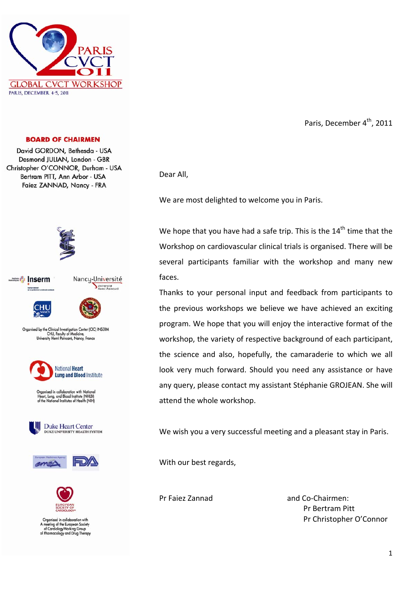

Paris, December 4<sup>th</sup>, 2011

### **BOARD OF CHAIRMEN**

David GORDON, Bethesda - USA Desmond JULIAN, London - GBR Christopher O'CONNOR, Durham - USA Bertram PITT, Ann Arbor - USA Faiez ZANNAD, Nancy - FRA







Université<br>Henri Poincaré



Organised in collaboration with National<br>Heart, Lung, and Blood Institute (NHLBI)<br>of the National Institutes of Health (NH)







Organised in collab A meeting of the European Society<br>of CardiologyWorking Group<br>of Pharmacology and Drug Therapy Dear All,

We are most delighted to welcome you in Paris.

We hope that you have had a safe trip. This is the  $14<sup>th</sup>$  time that the Workshop on cardiovascular clinical trials is organised. There will be several participants familiar with the workshop and many new faces.

Thanks to your personal input and feedback from participants to the previous workshops we believe we have achieved an exciting program. We hope that you will enjoy the interactive format of the workshop, the variety of respective background of each participant, the science and also, hopefully, the camaraderie to which we all look very much forward. Should you need any assistance or have any query, please contact my assistant Stéphanie GROJEAN. She will attend the whole workshop.

We wish you a very successful meeting and a pleasant stay in Paris.

With our best regards,

Pr Faiez Zannad and Co‐Chairmen: Pr Bertram Pitt Pr Christopher O'Connor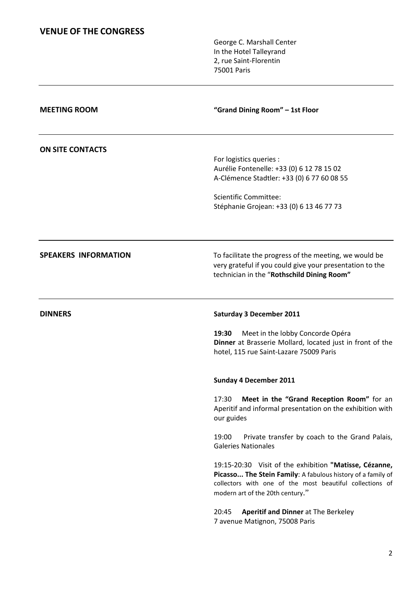# **VENUE OF THE CONGRESS**

George C. Marshall Center In the Hotel Talleyrand 2, rue Saint‐Florentin 75001 Paris

| <b>MEETING ROOM</b>         | "Grand Dining Room" - 1st Floor                                                                                                                                                                                                                                                                                                                                                                                                                                                                                                                                        |
|-----------------------------|------------------------------------------------------------------------------------------------------------------------------------------------------------------------------------------------------------------------------------------------------------------------------------------------------------------------------------------------------------------------------------------------------------------------------------------------------------------------------------------------------------------------------------------------------------------------|
| <b>ON SITE CONTACTS</b>     | For logistics queries :<br>Aurélie Fontenelle: +33 (0) 6 12 78 15 02<br>A-Clémence Stadtler: +33 (0) 6 77 60 08 55<br><b>Scientific Committee:</b><br>Stéphanie Grojean: +33 (0) 6 13 46 77 73                                                                                                                                                                                                                                                                                                                                                                         |
| <b>SPEAKERS INFORMATION</b> | To facilitate the progress of the meeting, we would be<br>very grateful if you could give your presentation to the<br>technician in the "Rothschild Dining Room"                                                                                                                                                                                                                                                                                                                                                                                                       |
| <b>DINNERS</b>              | <b>Saturday 3 December 2011</b><br>19:30<br>Meet in the lobby Concorde Opéra<br>Dinner at Brasserie Mollard, located just in front of the<br>hotel, 115 rue Saint-Lazare 75009 Paris                                                                                                                                                                                                                                                                                                                                                                                   |
|                             | <b>Sunday 4 December 2011</b><br>17:30 Meet in the "Grand Reception Room" for an<br>Aperitif and informal presentation on the exhibition with<br>our guides<br>19:00<br>Private transfer by coach to the Grand Palais,<br><b>Galeries Nationales</b><br>19:15-20:30 Visit of the exhibition "Matisse, Cézanne,<br>Picasso The Stein Family: A fabulous history of a family of<br>collectors with one of the most beautiful collections of<br>modern art of the 20th century."<br>20:45<br><b>Aperitif and Dinner at The Berkeley</b><br>7 avenue Matignon, 75008 Paris |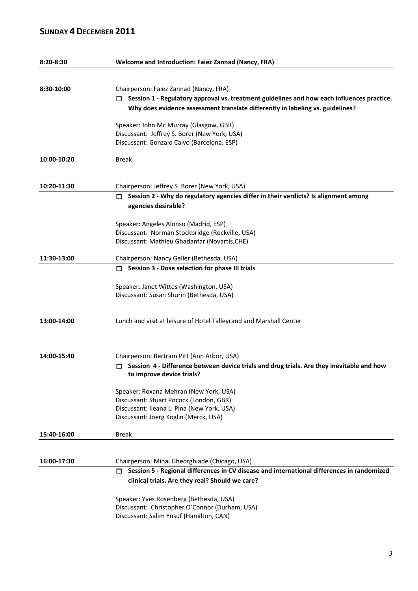# **SUNDAY 4 DECEMBER 2011**

| $8:20 - 8:30$ | Welcome and Introduction: Faiez Zannad (Nancy, FRA)                                                                          |
|---------------|------------------------------------------------------------------------------------------------------------------------------|
|               |                                                                                                                              |
| 8:30-10:00    | Chairperson: Faiez Zannad (Nancy, FRA)                                                                                       |
|               | Session 1 - Regulatory approval vs. treatment guidelines and how each influences practice.<br>П.                             |
|               | Why does evidence assessment translate differently in labeling vs. guidelines?                                               |
|               | Speaker: John Mc Murray (Glasgow, GBR)                                                                                       |
|               | Discussant: Jeffrey S. Borer (New York, USA)                                                                                 |
|               | Discussant: Gonzalo Calvo (Barcelona, ESP)                                                                                   |
| 10:00-10:20   | <b>Break</b>                                                                                                                 |
|               |                                                                                                                              |
| 10:20-11:30   | Chairperson: Jeffrey S. Borer (New York, USA)                                                                                |
|               | Session 2 - Why do regulatory agencies differ in their verdicts? Is alignment among<br>п                                     |
|               | agencies desirable?                                                                                                          |
|               | Speaker: Angeles Alonso (Madrid, ESP)                                                                                        |
|               | Discussant: Norman Stockbridge (Rockville, USA)                                                                              |
|               | Discussant: Mathieu Ghadanfar (Novartis, CHE)                                                                                |
| 11:30-13:00   | Chairperson: Nancy Geller (Bethesda, USA)                                                                                    |
|               | $\Box$ Session 3 - Dose selection for phase III trials                                                                       |
|               | Speaker: Janet Wittes (Washington, USA)                                                                                      |
|               | Discussant: Susan Shurin (Bethesda, USA)                                                                                     |
|               |                                                                                                                              |
| 13:00-14:00   | Lunch and visit at leisure of Hotel Talleyrand and Marshall Center                                                           |
|               |                                                                                                                              |
| 14:00-15:40   | Chairperson: Bertram Pitt (Ann Arbor, USA)                                                                                   |
|               | Session 4 - Difference between device trials and drug trials. Are they inevitable and how<br>п.<br>to improve device trials? |
|               | Speaker: Roxana Mehran (New York, USA)                                                                                       |
|               | Discussant: Stuart Pocock (London, GBR)                                                                                      |
|               | Discussant: Ileana L. Pina (New York, USA)                                                                                   |
|               | Discussant: Joerg Koglin (Merck, USA)                                                                                        |
| 15:40-16:00   | <b>Break</b>                                                                                                                 |
|               |                                                                                                                              |
| 16:00-17:30   | Chairperson: Mihai Gheorghiade (Chicago, USA)                                                                                |
|               | Session 5 - Regional differences in CV disease and international differences in randomized<br>п                              |
|               | clinical trials. Are they real? Should we care?                                                                              |
|               | Speaker: Yves Rosenberg (Bethesda, USA)                                                                                      |
|               | Discussant: Christopher O'Connor (Durham, USA)                                                                               |
|               | Discussant: Salim Yusuf (Hamilton, CAN)                                                                                      |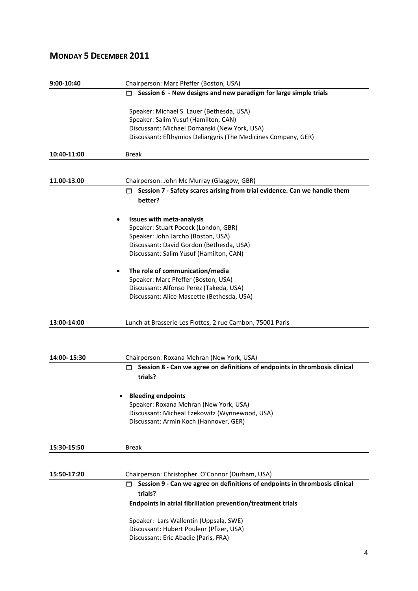# **MONDAY 5 DECEMBER 2011**

| 9:00-10:40  | Chairperson: Marc Pfeffer (Boston, USA)                                                                        |  |
|-------------|----------------------------------------------------------------------------------------------------------------|--|
|             | Session 6 - New designs and new paradigm for large simple trials<br>п                                          |  |
|             |                                                                                                                |  |
|             | Speaker: Michael S. Lauer (Bethesda, USA)<br>Speaker: Salim Yusuf (Hamilton, CAN)                              |  |
|             |                                                                                                                |  |
|             | Discussant: Michael Domanski (New York, USA)<br>Discussant: Efthymios Deliargyris (The Medicines Company, GER) |  |
|             |                                                                                                                |  |
| 10:40-11:00 | <b>Break</b>                                                                                                   |  |
|             |                                                                                                                |  |
| 11.00-13.00 | Chairperson: John Mc Murray (Glasgow, GBR)                                                                     |  |
|             | Session 7 - Safety scares arising from trial evidence. Can we handle them<br>п                                 |  |
|             | better?                                                                                                        |  |
|             | <b>Issues with meta-analysis</b>                                                                               |  |
|             | Speaker: Stuart Pocock (London, GBR)                                                                           |  |
|             | Speaker: John Jarcho (Boston, USA)                                                                             |  |
|             | Discussant: David Gordon (Bethesda, USA)                                                                       |  |
|             | Discussant: Salim Yusuf (Hamilton, CAN)                                                                        |  |
|             | The role of communication/media<br>$\bullet$                                                                   |  |
|             | Speaker: Marc Pfeffer (Boston, USA)                                                                            |  |
|             | Discussant: Alfonso Perez (Takeda, USA)                                                                        |  |
|             | Discussant: Alice Mascette (Bethesda, USA)                                                                     |  |
| 13:00-14:00 | Lunch at Brasserie Les Flottes, 2 rue Cambon, 75001 Paris                                                      |  |
|             |                                                                                                                |  |
| 14:00-15:30 | Chairperson: Roxana Mehran (New York, USA)                                                                     |  |
|             | Session 8 - Can we agree on definitions of endpoints in thrombosis clinical<br>□                               |  |
|             | trials?                                                                                                        |  |
|             | <b>Bleeding endpoints</b>                                                                                      |  |
|             | Speaker: Roxana Mehran (New York, USA)                                                                         |  |
|             | Discussant: Micheal Ezekowitz (Wynnewood, USA)                                                                 |  |
|             | Discussant: Armin Koch (Hannover, GER)                                                                         |  |
|             |                                                                                                                |  |
| 15:30-15:50 | <b>Break</b>                                                                                                   |  |
| 15:50-17:20 | Chairperson: Christopher O'Connor (Durham, USA)                                                                |  |
|             | Session 9 - Can we agree on definitions of endpoints in thrombosis clinical                                    |  |
|             | п                                                                                                              |  |
|             | trials?<br>Endpoints in atrial fibrillation prevention/treatment trials                                        |  |
|             | Speaker: Lars Wallentin (Uppsala, SWE)                                                                         |  |
|             | Discussant: Hubert Pouleur (Pfizer, USA)                                                                       |  |
|             | Discussant: Eric Abadie (Paris, FRA)                                                                           |  |
|             |                                                                                                                |  |